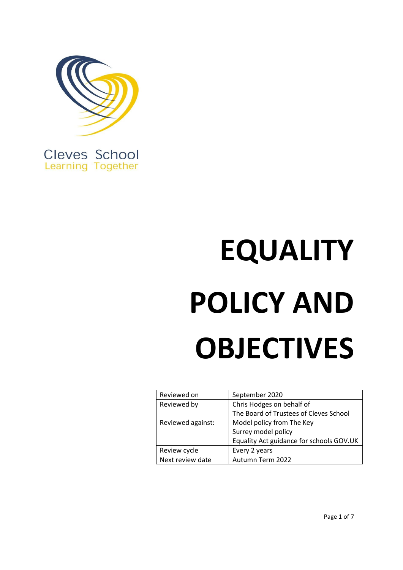

Cleves School **Learning Together** 

# **EQUALITY POLICY AND OBJECTIVES**

| Reviewed on       | September 2020                           |
|-------------------|------------------------------------------|
| Reviewed by       | Chris Hodges on behalf of                |
|                   | The Board of Trustees of Cleves School   |
| Reviewed against: | Model policy from The Key                |
|                   | Surrey model policy                      |
|                   | Equality Act guidance for schools GOV.UK |
| Review cycle      | Every 2 years                            |
| Next review date  | Autumn Term 2022                         |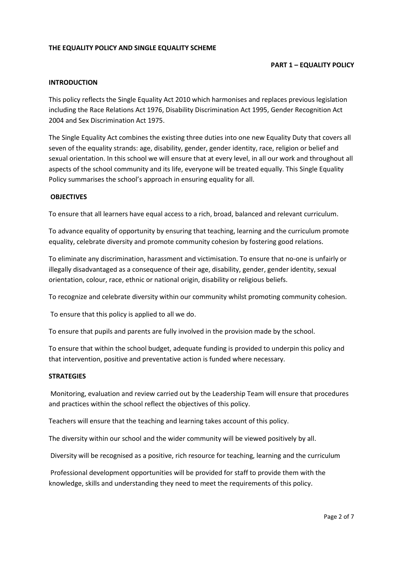# **THE EQUALITY POLICY AND SINGLE EQUALITY SCHEME**

# **PART 1 – EQUALITY POLICY**

#### **INTRODUCTION**

This policy reflects the Single Equality Act 2010 which harmonises and replaces previous legislation including the Race Relations Act 1976, Disability Discrimination Act 1995, Gender Recognition Act 2004 and Sex Discrimination Act 1975.

The Single Equality Act combines the existing three duties into one new Equality Duty that covers all seven of the equality strands: age, disability, gender, gender identity, race, religion or belief and sexual orientation. In this school we will ensure that at every level, in all our work and throughout all aspects of the school community and its life, everyone will be treated equally. This Single Equality Policy summarises the school's approach in ensuring equality for all.

#### **OBJECTIVES**

To ensure that all learners have equal access to a rich, broad, balanced and relevant curriculum.

To advance equality of opportunity by ensuring that teaching, learning and the curriculum promote equality, celebrate diversity and promote community cohesion by fostering good relations.

To eliminate any discrimination, harassment and victimisation. To ensure that no-one is unfairly or illegally disadvantaged as a consequence of their age, disability, gender, gender identity, sexual orientation, colour, race, ethnic or national origin, disability or religious beliefs.

To recognize and celebrate diversity within our community whilst promoting community cohesion.

To ensure that this policy is applied to all we do.

To ensure that pupils and parents are fully involved in the provision made by the school.

To ensure that within the school budget, adequate funding is provided to underpin this policy and that intervention, positive and preventative action is funded where necessary.

#### **STRATEGIES**

Monitoring, evaluation and review carried out by the Leadership Team will ensure that procedures and practices within the school reflect the objectives of this policy.

Teachers will ensure that the teaching and learning takes account of this policy.

The diversity within our school and the wider community will be viewed positively by all.

Diversity will be recognised as a positive, rich resource for teaching, learning and the curriculum

Professional development opportunities will be provided for staff to provide them with the knowledge, skills and understanding they need to meet the requirements of this policy.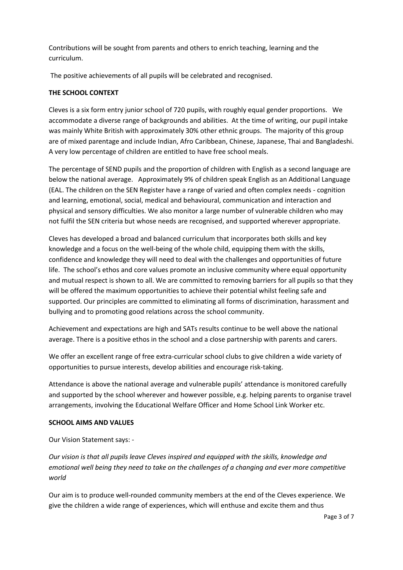Contributions will be sought from parents and others to enrich teaching, learning and the curriculum.

The positive achievements of all pupils will be celebrated and recognised.

# **THE SCHOOL CONTEXT**

Cleves is a six form entry junior school of 720 pupils, with roughly equal gender proportions. We accommodate a diverse range of backgrounds and abilities. At the time of writing, our pupil intake was mainly White British with approximately 30% other ethnic groups. The majority of this group are of mixed parentage and include Indian, Afro Caribbean, Chinese, Japanese, Thai and Bangladeshi. A very low percentage of children are entitled to have free school meals.

The percentage of SEND pupils and the proportion of children with English as a second language are below the national average. Approximately 9% of children speak English as an Additional Language (EAL. The children on the SEN Register have a range of varied and often complex needs - cognition and learning, emotional, social, medical and behavioural, communication and interaction and physical and sensory difficulties. We also monitor a large number of vulnerable children who may not fulfil the SEN criteria but whose needs are recognised, and supported wherever appropriate.

Cleves has developed a broad and balanced curriculum that incorporates both skills and key knowledge and a focus on the well-being of the whole child, equipping them with the skills, confidence and knowledge they will need to deal with the challenges and opportunities of future life. The school's ethos and core values promote an inclusive community where equal opportunity and mutual respect is shown to all. We are committed to removing barriers for all pupils so that they will be offered the maximum opportunities to achieve their potential whilst feeling safe and supported. Our principles are committed to eliminating all forms of discrimination, harassment and bullying and to promoting good relations across the school community.

Achievement and expectations are high and SATs results continue to be well above the national average. There is a positive ethos in the school and a close partnership with parents and carers.

We offer an excellent range of free extra-curricular school clubs to give children a wide variety of opportunities to pursue interests, develop abilities and encourage risk-taking.

Attendance is above the national average and vulnerable pupils' attendance is monitored carefully and supported by the school wherever and however possible, e.g. helping parents to organise travel arrangements, involving the Educational Welfare Officer and Home School Link Worker etc.

## **SCHOOL AIMS AND VALUES**

Our Vision Statement says: -

*Our vision is that all pupils leave Cleves inspired and equipped with the skills, knowledge and emotional well being they need to take on the challenges of a changing and ever more competitive world*

Our aim is to produce well-rounded community members at the end of the Cleves experience. We give the children a wide range of experiences, which will enthuse and excite them and thus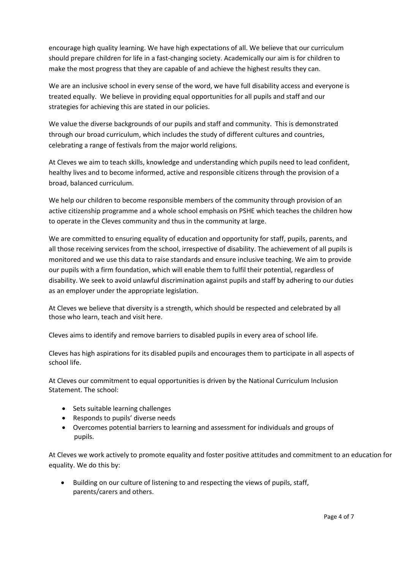encourage high quality learning. We have high expectations of all. We believe that our curriculum should prepare children for life in a fast-changing society. Academically our aim is for children to make the most progress that they are capable of and achieve the highest results they can.

We are an inclusive school in every sense of the word, we have full disability access and everyone is treated equally. We believe in providing equal opportunities for all pupils and staff and our strategies for achieving this are stated in our policies.

We value the diverse backgrounds of our pupils and staff and community. This is demonstrated through our broad curriculum, which includes the study of different cultures and countries, celebrating a range of festivals from the major world religions.

At Cleves we aim to teach skills, knowledge and understanding which pupils need to lead confident, healthy lives and to become informed, active and responsible citizens through the provision of a broad, balanced curriculum.

We help our children to become responsible members of the community through provision of an active citizenship programme and a whole school emphasis on PSHE which teaches the children how to operate in the Cleves community and thus in the community at large.

We are committed to ensuring equality of education and opportunity for staff, pupils, parents, and all those receiving services from the school, irrespective of disability. The achievement of all pupils is monitored and we use this data to raise standards and ensure inclusive teaching. We aim to provide our pupils with a firm foundation, which will enable them to fulfil their potential, regardless of disability. We seek to avoid unlawful discrimination against pupils and staff by adhering to our duties as an employer under the appropriate legislation.

At Cleves we believe that diversity is a strength, which should be respected and celebrated by all those who learn, teach and visit here.

Cleves aims to identify and remove barriers to disabled pupils in every area of school life.

Cleves has high aspirations for its disabled pupils and encourages them to participate in all aspects of school life.

At Cleves our commitment to equal opportunities is driven by the National Curriculum Inclusion Statement. The school:

- Sets suitable learning challenges
- Responds to pupils' diverse needs
- Overcomes potential barriers to learning and assessment for individuals and groups of pupils.

At Cleves we work actively to promote equality and foster positive attitudes and commitment to an education for equality. We do this by:

• Building on our culture of listening to and respecting the views of pupils, staff, parents/carers and others.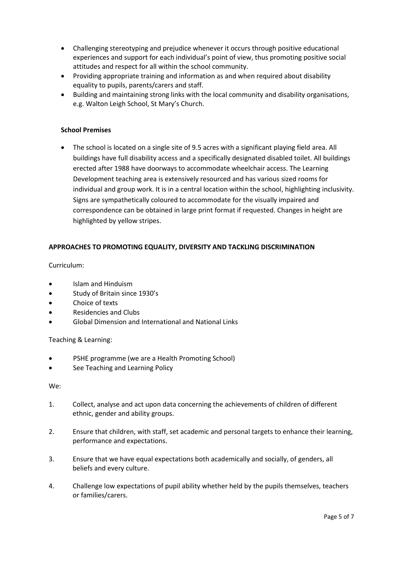- Challenging stereotyping and prejudice whenever it occurs through positive educational experiences and support for each individual's point of view, thus promoting positive social attitudes and respect for all within the school community.
- Providing appropriate training and information as and when required about disability equality to pupils, parents/carers and staff.
- Building and maintaining strong links with the local community and disability organisations, e.g. Walton Leigh School, St Mary's Church.

# **School Premises**

• The school is located on a single site of 9.5 acres with a significant playing field area. All buildings have full disability access and a specifically designated disabled toilet. All buildings erected after 1988 have doorways to accommodate wheelchair access. The Learning Development teaching area is extensively resourced and has various sized rooms for individual and group work. It is in a central location within the school, highlighting inclusivity. Signs are sympathetically coloured to accommodate for the visually impaired and correspondence can be obtained in large print format if requested. Changes in height are highlighted by yellow stripes.

# **APPROACHES TO PROMOTING EQUALITY, DIVERSITY AND TACKLING DISCRIMINATION**

Curriculum:

- Islam and Hinduism
- Study of Britain since 1930's
- Choice of texts
- Residencies and Clubs
- Global Dimension and International and National Links

Teaching & Learning:

- PSHE programme (we are a Health Promoting School)
- See Teaching and Learning Policy

We:

- 1. Collect, analyse and act upon data concerning the achievements of children of different ethnic, gender and ability groups.
- 2. Ensure that children, with staff, set academic and personal targets to enhance their learning, performance and expectations.
- 3. Ensure that we have equal expectations both academically and socially, of genders, all beliefs and every culture.
- 4. Challenge low expectations of pupil ability whether held by the pupils themselves, teachers or families/carers.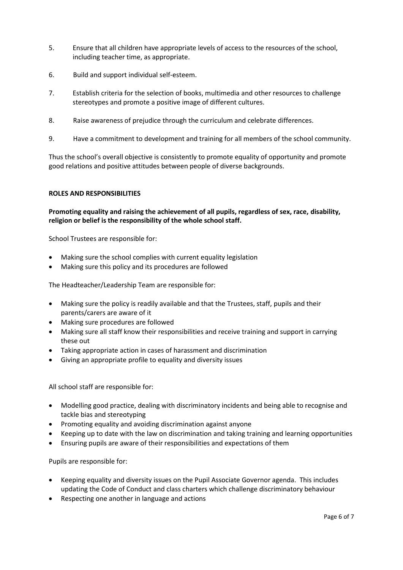- 5. Ensure that all children have appropriate levels of access to the resources of the school, including teacher time, as appropriate.
- 6. Build and support individual self-esteem.
- 7. Establish criteria for the selection of books, multimedia and other resources to challenge stereotypes and promote a positive image of different cultures.
- 8. Raise awareness of prejudice through the curriculum and celebrate differences.
- 9. Have a commitment to development and training for all members of the school community.

Thus the school's overall objective is consistently to promote equality of opportunity and promote good relations and positive attitudes between people of diverse backgrounds.

#### **ROLES AND RESPONSIBILITIES**

**Promoting equality and raising the achievement of all pupils, regardless of sex, race, disability, religion or belief is the responsibility of the whole school staff.**

School Trustees are responsible for:

- Making sure the school complies with current equality legislation
- Making sure this policy and its procedures are followed

The Headteacher/Leadership Team are responsible for:

- Making sure the policy is readily available and that the Trustees, staff, pupils and their parents/carers are aware of it
- Making sure procedures are followed
- Making sure all staff know their responsibilities and receive training and support in carrying these out
- Taking appropriate action in cases of harassment and discrimination
- Giving an appropriate profile to equality and diversity issues

All school staff are responsible for:

- Modelling good practice, dealing with discriminatory incidents and being able to recognise and tackle bias and stereotyping
- Promoting equality and avoiding discrimination against anyone
- Keeping up to date with the law on discrimination and taking training and learning opportunities
- Ensuring pupils are aware of their responsibilities and expectations of them

Pupils are responsible for:

- Keeping equality and diversity issues on the Pupil Associate Governor agenda. This includes updating the Code of Conduct and class charters which challenge discriminatory behaviour
- Respecting one another in language and actions